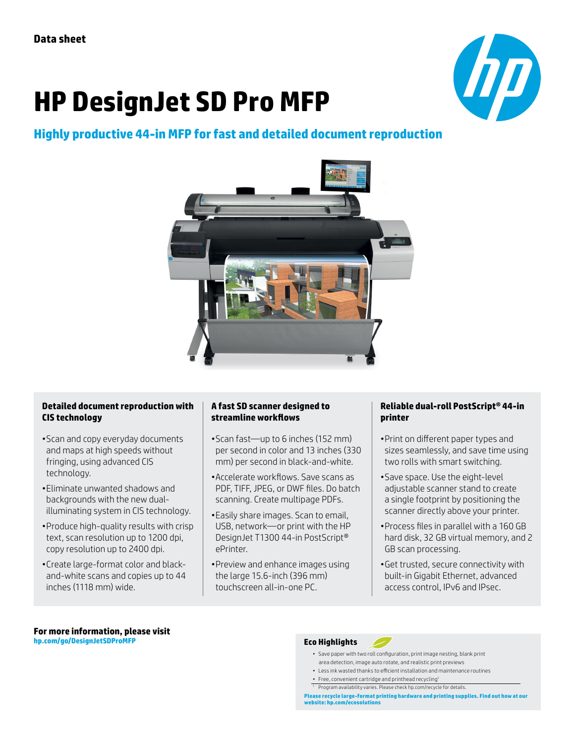# **HP DesignJet SD Pro MFP**



# **Highly productive 44-in MFP for fast and detailed document reproduction**



#### **Detailed document reproduction with CIS technology**

- •Scan and copy everyday documents and maps at high speeds without fringing, using advanced CIS technology.
- •Eliminate unwanted shadows and backgrounds with the new dualilluminating system in CIS technology.
- •Produce high-quality results with crisp text, scan resolution up to 1200 dpi, copy resolution up to 2400 dpi.
- •Create large-format color and blackand-white scans and copies up to 44 inches (1118 mm) wide.

### **A fast SD scanner designed to streamline workflows**

- •Scan fast—up to 6 inches (152 mm) per second in color and 13 inches (330 mm) per second in black-and-white.
- •Accelerate workflows. Save scans as PDF, TIFF, JPEG, or DWF files. Do batch scanning. Create multipage PDFs.
- •Easily share images. Scan to email, USB, network—or print with the HP DesignJet T1300 44-in PostScript® ePrinter.
- •Preview and enhance images using the large 15.6-inch (396 mm) touchscreen all-in-one PC.

#### **Reliable dual-roll PostScript® 44-in printer**

- •Print on different paper types and sizes seamlessly, and save time using two rolls with smart switching.
- •Save space. Use the eight-level adjustable scanner stand to create a single footprint by positioning the scanner directly above your printer.
- •Process files in parallel with a 160 GB hard disk, 32 GB virtual memory, and 2 GB scan processing.
- •Get trusted, secure connectivity with built-in Gigabit Ethernet, advanced access control, IPv6 and IPsec.

#### **For more information, please visit [hp.com/go/D](http://hp.com/go/DesignjetSDProMFP)esignJetSDProMFP**

#### **Eco Highlights**

- Save paper with two roll configuration, print image nesting, blank print area detection, image auto rotate, and realistic print previews
- Less ink wasted thanks to efficient installation and maintenance routines
- Free, convenient cartridge and printhead recycling1
- <sup>1</sup> Program availability varies. Please check hp.com/recycle for details.

**Please recycle large-format printing hardware and printing supplies. Find out how at our website: [hp.com/ecosolutions](http://hp.com/ecosolutions)**